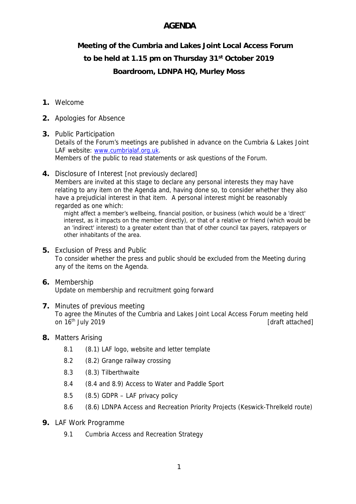## **AGENDA**

**Meeting of the Cumbria and Lakes Joint Local Access Forum**

# **to be held at 1.15 pm on Thursday 31st October 2019**

## **Boardroom, LDNPA HQ, Murley Moss**

#### **1.** Welcome

- **2.** Apologies for Absence
- **3.** Public Participation Details of the Forum's meetings are published in advance on the Cumbria & Lakes Joint LAF website: www.cumbrialaf.org.uk. Members of the public to read statements or ask questions of the Forum.
- **4.** Disclosure of Interest [not previously declared] Members are invited at this stage to declare any personal interests they may have relating to any item on the Agenda and, having done so, to consider whether they also have a prejudicial interest in that item. A personal interest might be reasonably regarded as one which:

might affect a member's wellbeing, financial position, or business (which would be a 'direct' interest, as it impacts on the member directly), or that of a relative or friend (which would be an 'indirect' interest) to a greater extent than that of other council tax payers, ratepayers or other inhabitants of the area.

- **5.** Exclusion of Press and Public To consider whether the press and public should be excluded from the Meeting during any of the items on the Agenda.
- **6.** Membership Update on membership and recruitment going forward
- **7.** Minutes of previous meeting To agree the Minutes of the Cumbria and Lakes Joint Local Access Forum meeting held on 16<sup>th</sup> July 2019 **and 16th July 2019 [draft attached]**
- **8.** Matters Arising
	- 8.1 (8.1) LAF logo, website and letter template
	- 8.2 (8.2) Grange railway crossing
	- 8.3 (8.3) Tilberthwaite
	- 8.4 (8.4 and 8.9) Access to Water and Paddle Sport
	- 8.5 (8.5) GDPR LAF privacy policy
	- 8.6 (8.6) LDNPA Access and Recreation Priority Projects (Keswick-Threlkeld route)
- **9.** LAF Work Programme
	- 9.1 Cumbria Access and Recreation Strategy